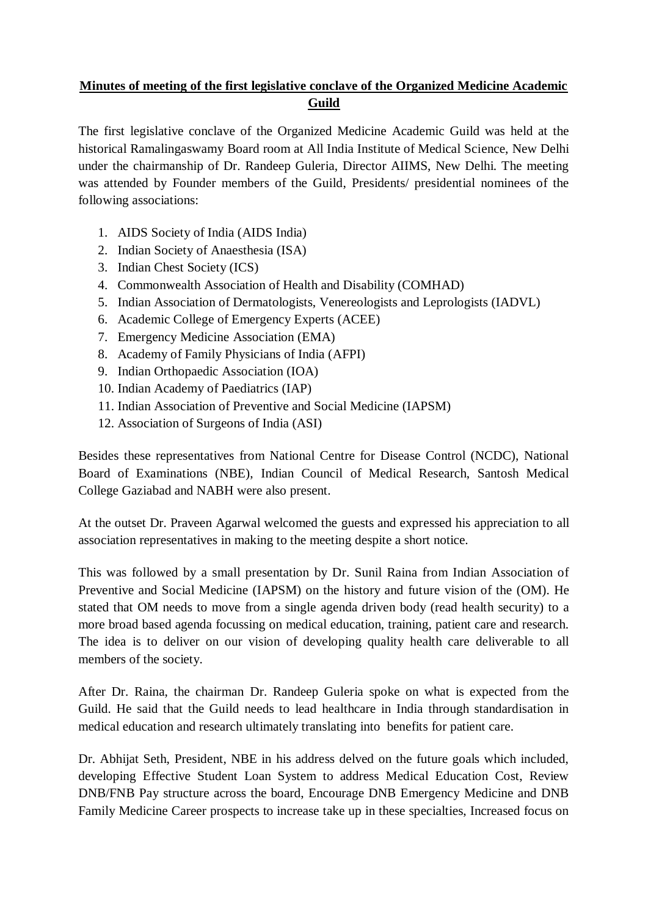## **Minutes of meeting of the first legislative conclave of the Organized Medicine Academic Guild**

The first legislative conclave of the Organized Medicine Academic Guild was held at the historical Ramalingaswamy Board room at All India Institute of Medical Science, New Delhi under the chairmanship of Dr. Randeep Guleria, Director AIIMS, New Delhi. The meeting was attended by Founder members of the Guild, Presidents/ presidential nominees of the following associations:

- 1. AIDS Society of India (AIDS India)
- 2. Indian Society of Anaesthesia (ISA)
- 3. Indian Chest Society (ICS)
- 4. Commonwealth Association of Health and Disability (COMHAD)
- 5. Indian Association of Dermatologists, Venereologists and Leprologists (IADVL)
- 6. Academic College of Emergency Experts (ACEE)
- 7. Emergency Medicine Association (EMA)
- 8. Academy of Family Physicians of India (AFPI)
- 9. Indian Orthopaedic Association (IOA)
- 10. Indian Academy of Paediatrics (IAP)
- 11. Indian Association of Preventive and Social Medicine (IAPSM)
- 12. Association of Surgeons of India (ASI)

Besides these representatives from National Centre for Disease Control (NCDC), National Board of Examinations (NBE), Indian Council of Medical Research, Santosh Medical College Gaziabad and NABH were also present.

At the outset Dr. Praveen Agarwal welcomed the guests and expressed his appreciation to all association representatives in making to the meeting despite a short notice.

This was followed by a small presentation by Dr. Sunil Raina from Indian Association of Preventive and Social Medicine (IAPSM) on the history and future vision of the (OM). He stated that OM needs to move from a single agenda driven body (read health security) to a more broad based agenda focussing on medical education, training, patient care and research. The idea is to deliver on our vision of developing quality health care deliverable to all members of the society.

After Dr. Raina, the chairman Dr. Randeep Guleria spoke on what is expected from the Guild. He said that the Guild needs to lead healthcare in India through standardisation in medical education and research ultimately translating into benefits for patient care.

Dr. Abhijat Seth, President, NBE in his address delved on the future goals which included, developing Effective Student Loan System to address Medical Education Cost, Review DNB/FNB Pay structure across the board, Encourage DNB Emergency Medicine and DNB Family Medicine Career prospects to increase take up in these specialties, Increased focus on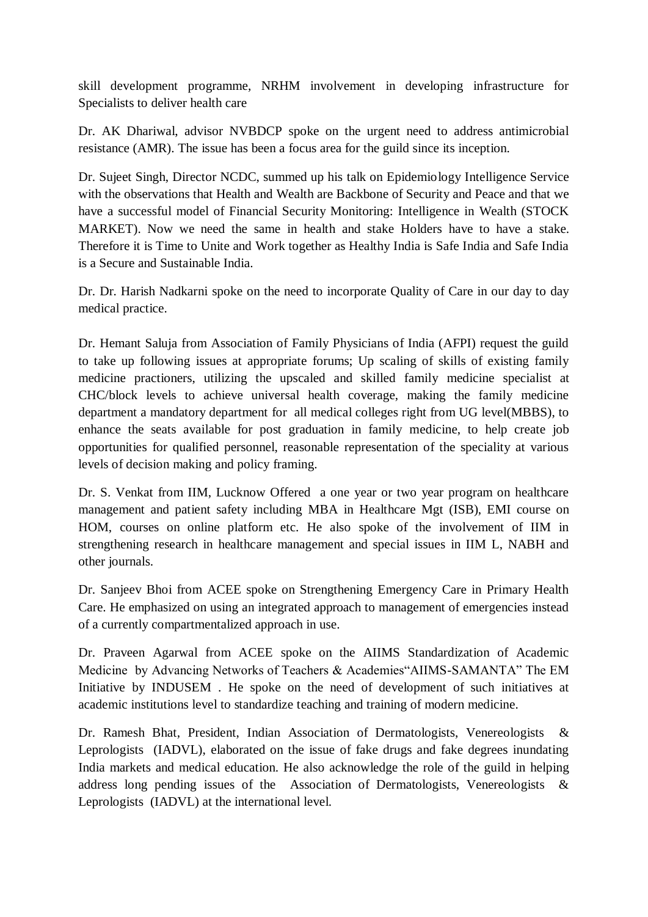skill development programme, NRHM involvement in developing infrastructure for Specialists to deliver health care

Dr. AK Dhariwal, advisor NVBDCP spoke on the urgent need to address antimicrobial resistance (AMR). The issue has been a focus area for the guild since its inception.

Dr. Sujeet Singh, Director NCDC, summed up his talk on Epidemiology Intelligence Service with the observations that Health and Wealth are Backbone of Security and Peace and that we have a successful model of Financial Security Monitoring: Intelligence in Wealth (STOCK MARKET). Now we need the same in health and stake Holders have to have a stake. Therefore it is Time to Unite and Work together as Healthy India is Safe India and Safe India is a Secure and Sustainable India.

Dr. Dr. Harish Nadkarni spoke on the need to incorporate Quality of Care in our day to day medical practice.

Dr. Hemant Saluja from Association of Family Physicians of India (AFPI) request the guild to take up following issues at appropriate forums; Up scaling of skills of existing family medicine practioners, utilizing the upscaled and skilled family medicine specialist at CHC/block levels to achieve universal health coverage, making the family medicine department a mandatory department for all medical colleges right from UG level(MBBS), to enhance the seats available for post graduation in family medicine, to help create job opportunities for qualified personnel, reasonable representation of the speciality at various levels of decision making and policy framing.

Dr. S. Venkat from IIM, Lucknow Offered a one year or two year program on healthcare management and patient safety including MBA in Healthcare Mgt (ISB), EMI course on HOM, courses on online platform etc. He also spoke of the involvement of IIM in strengthening research in healthcare management and special issues in IIM L, NABH and other journals.

Dr. Sanjeev Bhoi from ACEE spoke on Strengthening Emergency Care in Primary Health Care. He emphasized on using an integrated approach to management of emergencies instead of a currently compartmentalized approach in use.

Dr. Praveen Agarwal from ACEE spoke on the AIIMS Standardization of Academic Medicine by Advancing Networks of Teachers & Academies"AIIMS-SAMANTA" The EM Initiative by INDUSEM . He spoke on the need of development of such initiatives at academic institutions level to standardize teaching and training of modern medicine.

Dr. Ramesh Bhat, President, Indian Association of Dermatologists, Venereologists & Leprologists (IADVL), elaborated on the issue of fake drugs and fake degrees inundating India markets and medical education. He also acknowledge the role of the guild in helping address long pending issues of the Association of Dermatologists, Venereologists & Leprologists (IADVL) at the international level.